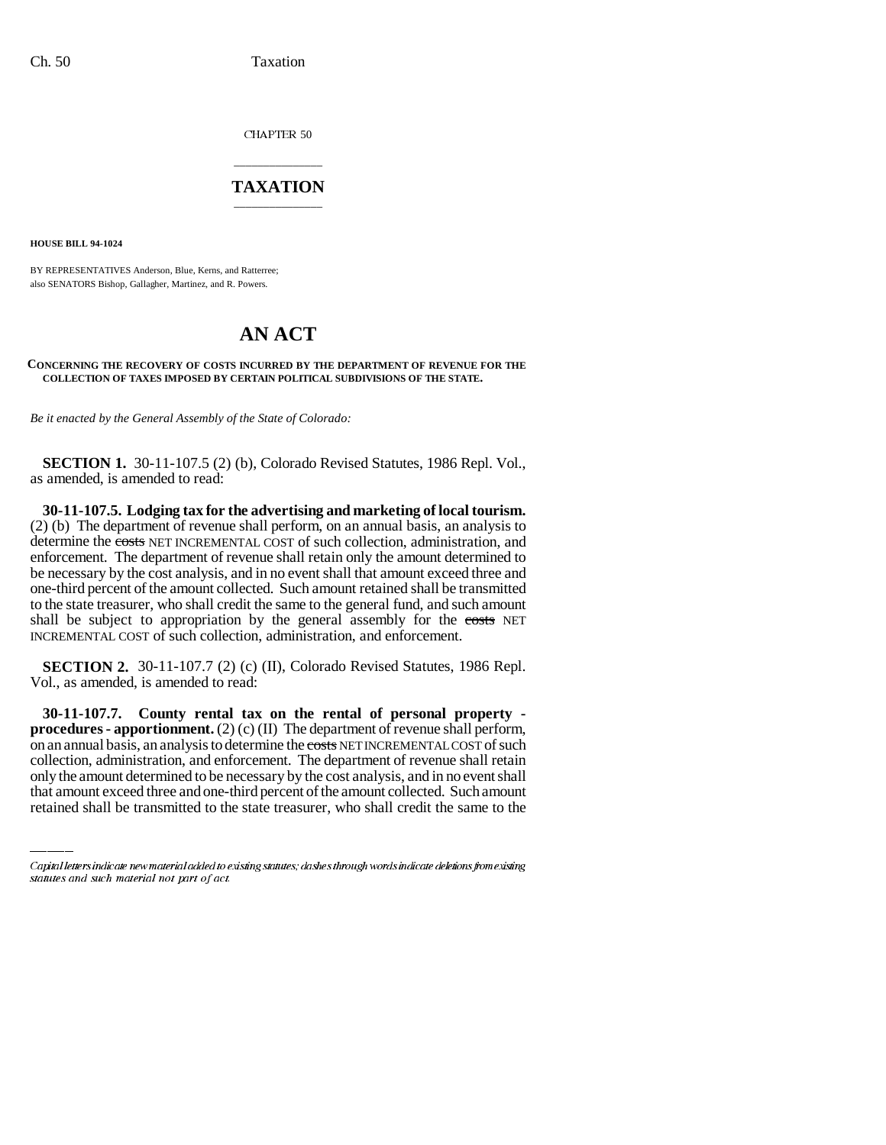CHAPTER 50

## \_\_\_\_\_\_\_\_\_\_\_\_\_\_\_ **TAXATION** \_\_\_\_\_\_\_\_\_\_\_\_\_\_\_

**HOUSE BILL 94-1024**

BY REPRESENTATIVES Anderson, Blue, Kerns, and Ratterree; also SENATORS Bishop, Gallagher, Martinez, and R. Powers.

## **AN ACT**

## **CONCERNING THE RECOVERY OF COSTS INCURRED BY THE DEPARTMENT OF REVENUE FOR THE COLLECTION OF TAXES IMPOSED BY CERTAIN POLITICAL SUBDIVISIONS OF THE STATE.**

*Be it enacted by the General Assembly of the State of Colorado:*

**SECTION 1.** 30-11-107.5 (2) (b), Colorado Revised Statutes, 1986 Repl. Vol., as amended, is amended to read:

**30-11-107.5. Lodging tax for the advertising and marketing of local tourism.** (2) (b) The department of revenue shall perform, on an annual basis, an analysis to determine the costs NET INCREMENTAL COST of such collection, administration, and enforcement. The department of revenue shall retain only the amount determined to be necessary by the cost analysis, and in no event shall that amount exceed three and one-third percent of the amount collected. Such amount retained shall be transmitted to the state treasurer, who shall credit the same to the general fund, and such amount shall be subject to appropriation by the general assembly for the costs NET INCREMENTAL COST of such collection, administration, and enforcement.

**SECTION 2.** 30-11-107.7 (2) (c) (II), Colorado Revised Statutes, 1986 Repl. Vol., as amended, is amended to read:

on an annual basis, an analysis to determine the costs NET INCREMENTAL COST of such **30-11-107.7. County rental tax on the rental of personal property procedures - apportionment.** (2) (c) (II) The department of revenue shall perform, collection, administration, and enforcement. The department of revenue shall retain only the amount determined to be necessary by the cost analysis, and in no event shall that amount exceed three and one-third percent of the amount collected. Such amount retained shall be transmitted to the state treasurer, who shall credit the same to the

Capital letters indicate new material added to existing statutes; dashes through words indicate deletions from existing statutes and such material not part of act.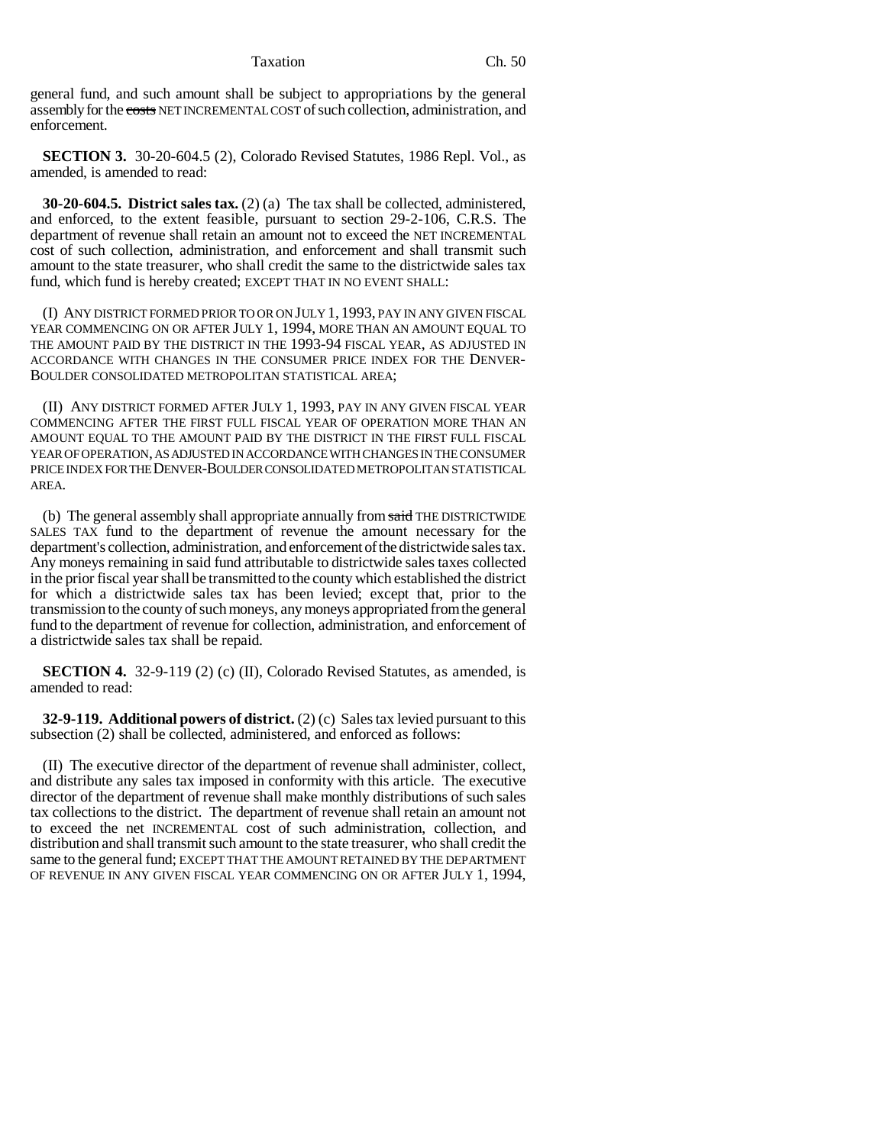Taxation Ch. 50

general fund, and such amount shall be subject to appropriations by the general assembly for the costs NET INCREMENTAL COST of such collection, administration, and enforcement.

**SECTION 3.** 30-20-604.5 (2), Colorado Revised Statutes, 1986 Repl. Vol., as amended, is amended to read:

**30-20-604.5. District sales tax.** (2) (a) The tax shall be collected, administered, and enforced, to the extent feasible, pursuant to section 29-2-106, C.R.S. The department of revenue shall retain an amount not to exceed the NET INCREMENTAL cost of such collection, administration, and enforcement and shall transmit such amount to the state treasurer, who shall credit the same to the districtwide sales tax fund, which fund is hereby created; EXCEPT THAT IN NO EVENT SHALL:

(I) ANY DISTRICT FORMED PRIOR TO OR ON JULY 1, 1993, PAY IN ANY GIVEN FISCAL YEAR COMMENCING ON OR AFTER JULY 1, 1994, MORE THAN AN AMOUNT EQUAL TO THE AMOUNT PAID BY THE DISTRICT IN THE 1993-94 FISCAL YEAR, AS ADJUSTED IN ACCORDANCE WITH CHANGES IN THE CONSUMER PRICE INDEX FOR THE DENVER-BOULDER CONSOLIDATED METROPOLITAN STATISTICAL AREA;

(II) ANY DISTRICT FORMED AFTER JULY 1, 1993, PAY IN ANY GIVEN FISCAL YEAR COMMENCING AFTER THE FIRST FULL FISCAL YEAR OF OPERATION MORE THAN AN AMOUNT EQUAL TO THE AMOUNT PAID BY THE DISTRICT IN THE FIRST FULL FISCAL YEAR OF OPERATION, AS ADJUSTED IN ACCORDANCE WITH CHANGES IN THE CONSUMER PRICE INDEX FOR THE DENVER-BOULDER CONSOLIDATED METROPOLITAN STATISTICAL AREA.

(b) The general assembly shall appropriate annually from said THE DISTRICTWIDE SALES TAX fund to the department of revenue the amount necessary for the department's collection, administration, and enforcement of the districtwide sales tax. Any moneys remaining in said fund attributable to districtwide sales taxes collected in the prior fiscal year shall be transmitted to the county which established the district for which a districtwide sales tax has been levied; except that, prior to the transmission to the county of such moneys, any moneys appropriated from the general fund to the department of revenue for collection, administration, and enforcement of a districtwide sales tax shall be repaid.

**SECTION 4.** 32-9-119 (2) (c) (II), Colorado Revised Statutes, as amended, is amended to read:

**32-9-119. Additional powers of district.** (2) (c) Sales tax levied pursuant to this subsection (2) shall be collected, administered, and enforced as follows:

(II) The executive director of the department of revenue shall administer, collect, and distribute any sales tax imposed in conformity with this article. The executive director of the department of revenue shall make monthly distributions of such sales tax collections to the district. The department of revenue shall retain an amount not to exceed the net INCREMENTAL cost of such administration, collection, and distribution and shall transmit such amount to the state treasurer, who shall credit the same to the general fund; EXCEPT THAT THE AMOUNT RETAINED BY THE DEPARTMENT OF REVENUE IN ANY GIVEN FISCAL YEAR COMMENCING ON OR AFTER JULY 1, 1994,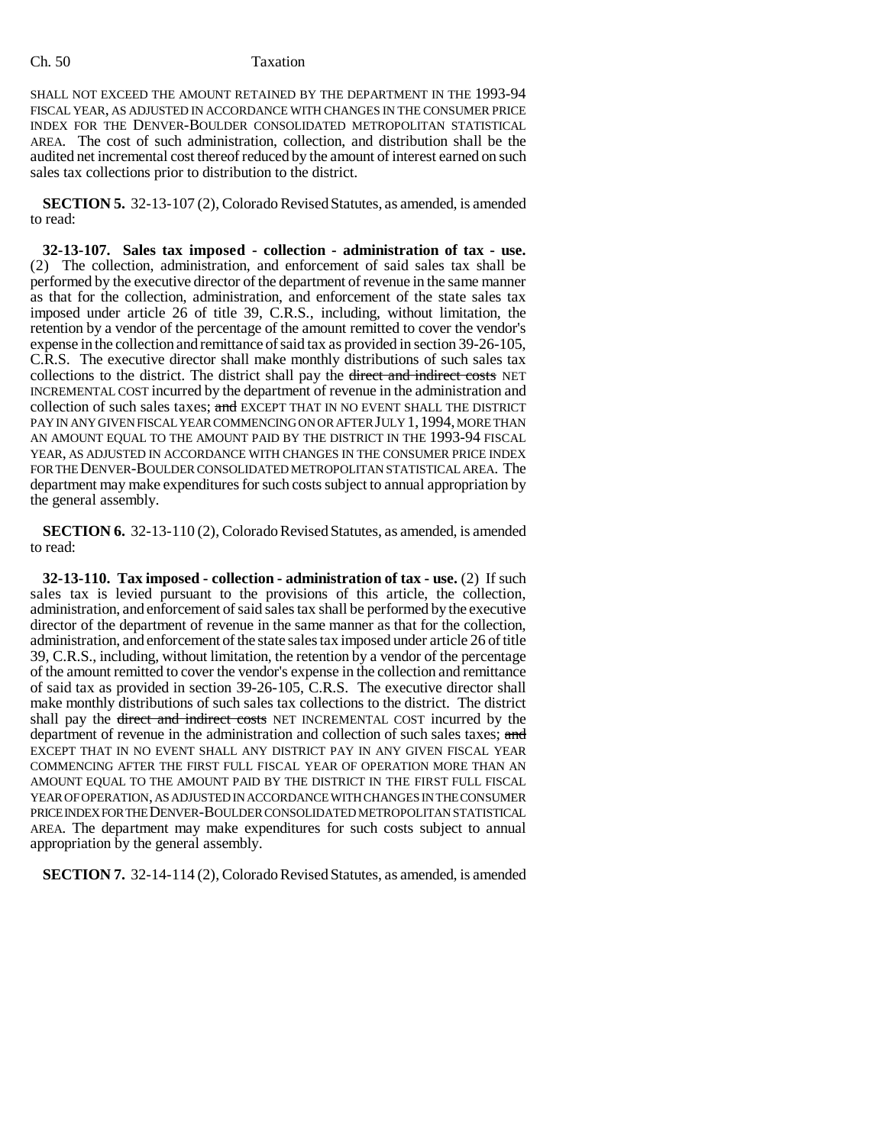## Ch. 50 Taxation

SHALL NOT EXCEED THE AMOUNT RETAINED BY THE DEPARTMENT IN THE 1993-94 FISCAL YEAR, AS ADJUSTED IN ACCORDANCE WITH CHANGES IN THE CONSUMER PRICE INDEX FOR THE DENVER-BOULDER CONSOLIDATED METROPOLITAN STATISTICAL AREA. The cost of such administration, collection, and distribution shall be the audited net incremental cost thereof reduced by the amount of interest earned on such sales tax collections prior to distribution to the district.

**SECTION 5.** 32-13-107 (2), Colorado Revised Statutes, as amended, is amended to read:

**32-13-107. Sales tax imposed - collection - administration of tax - use.** (2) The collection, administration, and enforcement of said sales tax shall be performed by the executive director of the department of revenue in the same manner as that for the collection, administration, and enforcement of the state sales tax imposed under article 26 of title 39, C.R.S., including, without limitation, the retention by a vendor of the percentage of the amount remitted to cover the vendor's expense in the collection and remittance of said tax as provided in section 39-26-105, C.R.S. The executive director shall make monthly distributions of such sales tax collections to the district. The district shall pay the direct and indirect costs NET INCREMENTAL COST incurred by the department of revenue in the administration and collection of such sales taxes; and EXCEPT THAT IN NO EVENT SHALL THE DISTRICT PAY IN ANY GIVEN FISCAL YEAR COMMENCING ON OR AFTER JULY 1,1994, MORE THAN AN AMOUNT EQUAL TO THE AMOUNT PAID BY THE DISTRICT IN THE 1993-94 FISCAL YEAR, AS ADJUSTED IN ACCORDANCE WITH CHANGES IN THE CONSUMER PRICE INDEX FOR THE DENVER-BOULDER CONSOLIDATED METROPOLITAN STATISTICAL AREA. The department may make expenditures for such costs subject to annual appropriation by the general assembly.

**SECTION 6.** 32-13-110 (2), Colorado Revised Statutes, as amended, is amended to read:

**32-13-110. Tax imposed - collection - administration of tax - use.** (2) If such sales tax is levied pursuant to the provisions of this article, the collection, administration, and enforcement of said sales tax shall be performed by the executive director of the department of revenue in the same manner as that for the collection, administration, and enforcement of the state sales tax imposed under article 26 of title 39, C.R.S., including, without limitation, the retention by a vendor of the percentage of the amount remitted to cover the vendor's expense in the collection and remittance of said tax as provided in section 39-26-105, C.R.S. The executive director shall make monthly distributions of such sales tax collections to the district. The district shall pay the <del>direct and indirect costs</del> NET INCREMENTAL COST incurred by the department of revenue in the administration and collection of such sales taxes; and EXCEPT THAT IN NO EVENT SHALL ANY DISTRICT PAY IN ANY GIVEN FISCAL YEAR COMMENCING AFTER THE FIRST FULL FISCAL YEAR OF OPERATION MORE THAN AN AMOUNT EQUAL TO THE AMOUNT PAID BY THE DISTRICT IN THE FIRST FULL FISCAL YEAR OF OPERATION, AS ADJUSTED IN ACCORDANCE WITH CHANGES IN THE CONSUMER PRICE INDEX FOR THE DENVER-BOULDER CONSOLIDATED METROPOLITAN STATISTICAL AREA. The department may make expenditures for such costs subject to annual appropriation by the general assembly.

**SECTION 7.** 32-14-114 (2), Colorado Revised Statutes, as amended, is amended